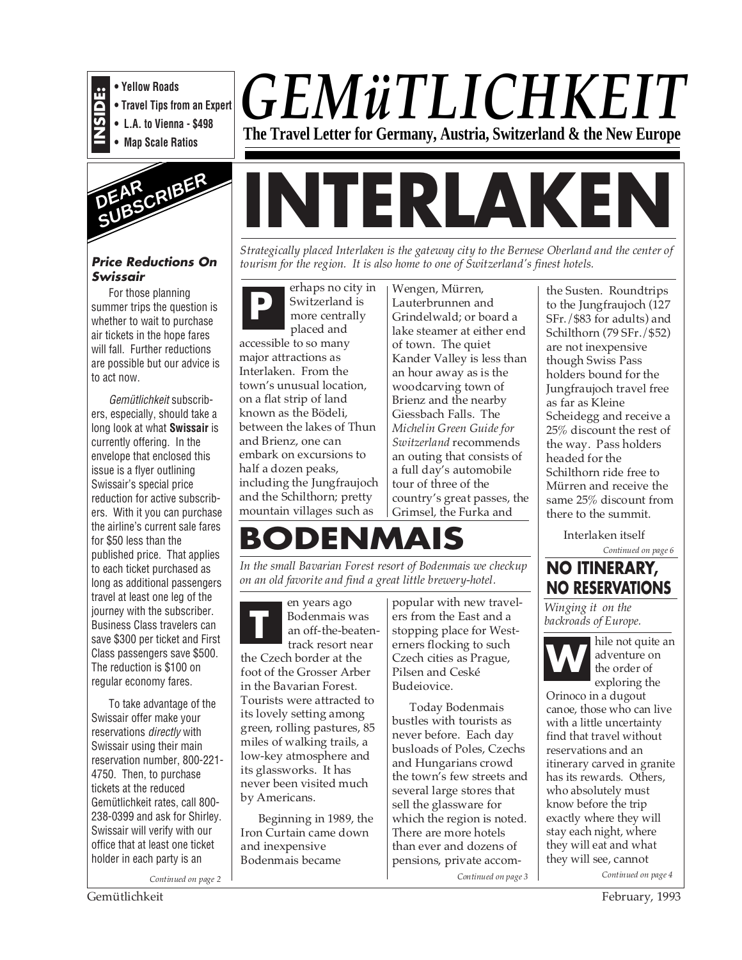

- **Travel Tips from an Expert**
- **INSIDE:**<br>• Travel Tips free **Property**<br>• L.A. to Vienn<br>• Man Scale Br **• L.A. to Vienna - \$498**
	- **Map Scale Ratios**



#### **Price Reductions On Swissair**

For those planning summer trips the question is whether to wait to purchase air tickets in the hope fares will fall. Further reductions are possible but our advice is to act now.

Gemütlichkeit subscribers, especially, should take a long look at what **Swissair** is currently offering. In the envelope that enclosed this issue is a flyer outlining Swissair's special price reduction for active subscribers. With it you can purchase the airline's current sale fares for \$50 less than the published price. That applies to each ticket purchased as long as additional passengers travel at least one leg of the journey with the subscriber. Business Class travelers can save \$300 per ticket and First Class passengers save \$500. The reduction is \$100 on regular economy fares.

To take advantage of the Swissair offer make your reservations *directly* with Swissair using their main reservation number, 800-221- 4750. Then, to purchase tickets at the reduced Gemütlichkeit rates, call 800- 238-0399 and ask for Shirley. Swissair will verify with our office that at least one ticket holder in each party is an

*Continued on page 2*

*GEMüTLICHKEIT* **The Travel Letter for Germany, Austria, Switzerland & the New Europe**

# **INTERLAKEN**

*Strategically placed Interlaken is the gateway city to the Bernese Oberland and the center of tourism for the region. It is also home to one of Switzerland's finest hotels.*

**P** erhaps no city in<br>
switzerland is<br>
more centrally<br>
also dend Switzerland is placed and

accessible to so many major attractions as Interlaken. From the town's unusual location, on a flat strip of land known as the Bödeli, between the lakes of Thun and Brienz, one can embark on excursions to half a dozen peaks, including the Jungfraujoch and the Schilthorn; pretty mountain villages such as

Wengen, Mürren, Lauterbrunnen and Grindelwald; or board a lake steamer at either end of town. The quiet Kander Valley is less than an hour away as is the woodcarving town of Brienz and the nearby Giessbach Falls. The *Michelin Green Guide for Switzerland* recommends an outing that consists of a full day's automobile tour of three of the country's great passes, the Grimsel, the Furka and

## **BODENMAIS**

*In the small Bavarian Forest resort of Bodenmais we checkup on an old favorite and find a great little brewery-hotel.*

en years ago Bodenmais was an off-the-beatentrack resort near **T**

the Czech border at the foot of the Grosser Arber in the Bavarian Forest. Tourists were attracted to its lovely setting among green, rolling pastures, 85 miles of walking trails, a low-key atmosphere and its glassworks. It has never been visited much by Americans.

Beginning in 1989, the Iron Curtain came down and inexpensive Bodenmais became

popular with new travelers from the East and a stopping place for Westerners flocking to such Czech cities as Prague, Pilsen and Ceské Budeiovice.

Today Bodenmais bustles with tourists as never before. Each day busloads of Poles, Czechs and Hungarians crowd the town's few streets and several large stores that sell the glassware for which the region is noted. There are more hotels than ever and dozens of pensions, private accomthe Susten. Roundtrips to the Jungfraujoch (127 SFr./\$83 for adults) and Schilthorn (79 SFr./\$52) are not inexpensive though Swiss Pass holders bound for the Jungfraujoch travel free as far as Kleine Scheidegg and receive a 25% discount the rest of the way. Pass holders headed for the Schilthorn ride free to Mürren and receive the same 25% discount from there to the summit.

> Interlaken itself *Continued on page 6*



*Winging it on the backroads of Europe.*



hile not quite an adventure on the order of exploring the

Orinoco in a dugout canoe, those who can live with a little uncertainty find that travel without reservations and an itinerary carved in granite has its rewards. Others, who absolutely must know before the trip exactly where they will stay each night, where they will eat and what they will see, cannot

*Continued on page 3 Continued on page 4*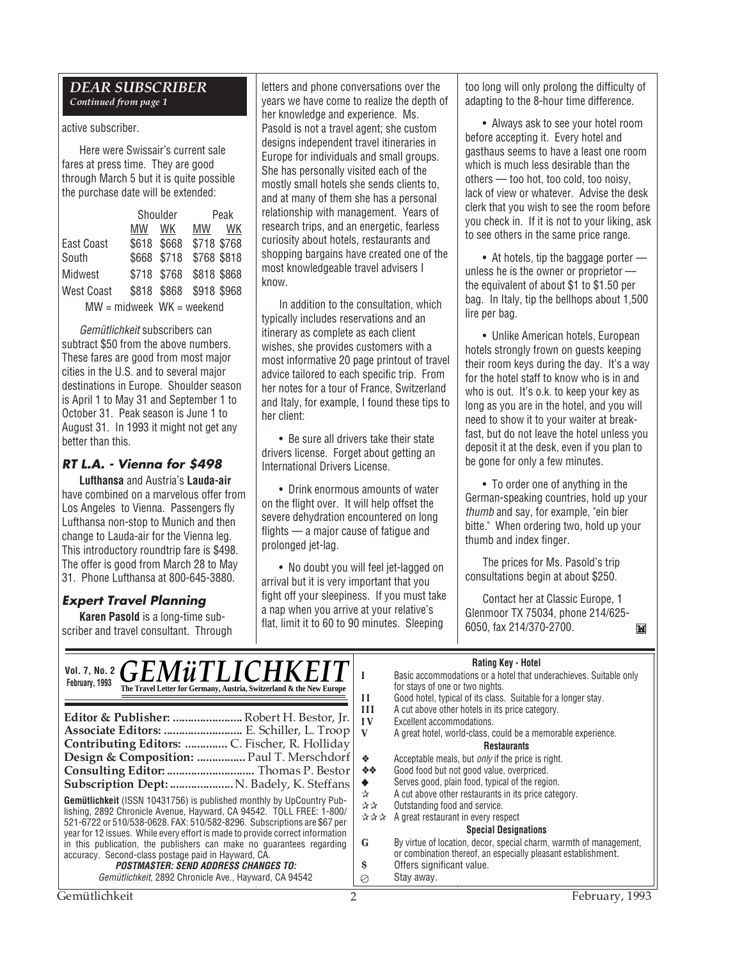#### *DEAR SUBSCRIBER Continued from page 1*

#### active subscriber.

Here were Swissair's current sale fares at press time. They are good through March 5 but it is quite possible the purchase date will be extended:

|                             |    | Shoulder    | Peak        |           |
|-----------------------------|----|-------------|-------------|-----------|
|                             | MW | WК          | <b>MW</b>   | <b>WK</b> |
| East Coast                  |    | \$618 \$668 | \$718 \$768 |           |
| South                       |    | \$668 \$718 | \$768 \$818 |           |
| Midwest                     |    | \$718 \$768 | \$818 \$868 |           |
| West Coast                  |    | \$818 \$868 | \$918 \$968 |           |
| $MW = midweek$ WK = weekend |    |             |             |           |

Gemütlichkeit subscribers can subtract \$50 from the above numbers. These fares are good from most major cities in the U.S. and to several major destinations in Europe. Shoulder season is April 1 to May 31 and September 1 to October 31. Peak season is June 1 to August 31. In 1993 it might not get any better than this.

#### **RT L.A. - Vienna for \$498**

**Lufthansa** and Austria's **Lauda-air** have combined on a marvelous offer from Los Angeles to Vienna. Passengers fly Lufthansa non-stop to Munich and then change to Lauda-air for the Vienna leg. This introductory roundtrip fare is \$498. The offer is good from March 28 to May 31. Phone Lufthansa at 800-645-3880.

#### **Expert Travel Planning**

**Karen Pasold** is a long-time subscriber and travel consultant. Through letters and phone conversations over the years we have come to realize the depth of her knowledge and experience. Ms. Pasold is not a travel agent; she custom designs independent travel itineraries in Europe for individuals and small groups. She has personally visited each of the mostly small hotels she sends clients to, and at many of them she has a personal relationship with management. Years of research trips, and an energetic, fearless curiosity about hotels, restaurants and shopping bargains have created one of the most knowledgeable travel advisers I know.

In addition to the consultation, which typically includes reservations and an itinerary as complete as each client wishes, she provides customers with a most informative 20 page printout of travel advice tailored to each specific trip. From her notes for a tour of France, Switzerland and Italy, for example, I found these tips to her client:

• Be sure all drivers take their state drivers license. Forget about getting an International Drivers License.

• Drink enormous amounts of water on the flight over. It will help offset the severe dehydration encountered on long flights — a major cause of fatigue and prolonged jet-lag.

• No doubt you will feel jet-lagged on arrival but it is very important that you fight off your sleepiness. If you must take a nap when you arrive at your relative's flat, limit it to 60 to 90 minutes. Sleeping

too long will only prolong the difficulty of adapting to the 8-hour time difference.

• Always ask to see your hotel room before accepting it. Every hotel and gasthaus seems to have a least one room which is much less desirable than the others — too hot, too cold, too noisy, lack of view or whatever. Advise the desk clerk that you wish to see the room before you check in. If it is not to your liking, ask to see others in the same price range.

• At hotels, tip the baggage porter unless he is the owner or proprietor the equivalent of about \$1 to \$1.50 per bag. In Italy, tip the bellhops about 1,500 lire per bag.

• Unlike American hotels, European hotels strongly frown on guests keeping their room keys during the day. It's a way for the hotel staff to know who is in and who is out. It's o.k. to keep your key as long as you are in the hotel, and you will need to show it to your waiter at breakfast, but do not leave the hotel unless you deposit it at the desk, even if you plan to be gone for only a few minutes.

• To order one of anything in the German-speaking countries, hold up your thumb and say, for example, "ein bier bitte." When ordering two, hold up your thumb and index finger.

The prices for Ms. Pasold's trip consultations begin at about \$250.

Contact her at Classic Europe, 1 Glenmoor TX 75034, phone 214/625- 6050, fax 214/370-2700.

M

| VOL. 7, No. 2 $GEM\ddot{u}TLICHKEIT$<br>February, 1993<br>The Travel Letter for Germany, Austria, Switzerland & the New Europe                  | Н<br>III  | <b>Rating Key - Hotel</b><br>Basic accommodations or a hotel that underachieves. Suitable only<br>for stays of one or two nights.<br>Good hotel, typical of its class. Suitable for a longer stay.<br>A cut above other hotels in its price category. |
|-------------------------------------------------------------------------------------------------------------------------------------------------|-----------|-------------------------------------------------------------------------------------------------------------------------------------------------------------------------------------------------------------------------------------------------------|
| Editor & Publisher:  Robert H. Bestor, Jr.                                                                                                      | $\bf{IV}$ | Excellent accommodations.                                                                                                                                                                                                                             |
| Associate Editors:  E. Schiller, L. Troop                                                                                                       |           | A great hotel, world-class, could be a memorable experience.                                                                                                                                                                                          |
| Contributing Editors:  C. Fischer, R. Holliday                                                                                                  |           | <b>Restaurants</b>                                                                                                                                                                                                                                    |
| Design & Composition:  Paul T. Merschdorf                                                                                                       | A.        | Acceptable meals, but <i>only</i> if the price is right.                                                                                                                                                                                              |
| Consulting Editor:  Thomas P. Bestor                                                                                                            | ※※        | Good food but not good value, overpriced.                                                                                                                                                                                                             |
| Subscription Dept:  N. Badely, K. Steffans                                                                                                      | ☆         | Serves good, plain food, typical of the region.<br>A cut above other restaurants in its price category.                                                                                                                                               |
| <b>Gemütlichkeit</b> (ISSN 10431756) is published monthly by UpCountry Pub-                                                                     | 자자        | Outstanding food and service.                                                                                                                                                                                                                         |
| lishing, 2892 Chronicle Avenue, Hayward, CA 94542. TOLL FREE: 1-800/<br>521-6722 or 510/538-0628. FAX: 510/582-8296. Subscriptions are \$67 per |           | $\forall x \forall x$ A great restaurant in every respect                                                                                                                                                                                             |
| year for 12 issues. While every effort is made to provide correct information                                                                   |           | <b>Special Designations</b>                                                                                                                                                                                                                           |
| in this publication, the publishers can make no guarantees regarding                                                                            | G         | By virtue of location, decor, special charm, warmth of management,                                                                                                                                                                                    |
| accuracy. Second-class postage paid in Hayward, CA.                                                                                             |           | or combination thereof, an especially pleasant establishment.                                                                                                                                                                                         |
| <b>POSTMASTER: SEND ADDRESS CHANGES TO:</b>                                                                                                     | s         | Offers significant value.                                                                                                                                                                                                                             |
| Gemütlichkeit, 2892 Chronicle Ave., Hayward, CA 94542                                                                                           | ⊘         | Stay away.                                                                                                                                                                                                                                            |
| Gemütlichkeit                                                                                                                                   |           | February, 1993                                                                                                                                                                                                                                        |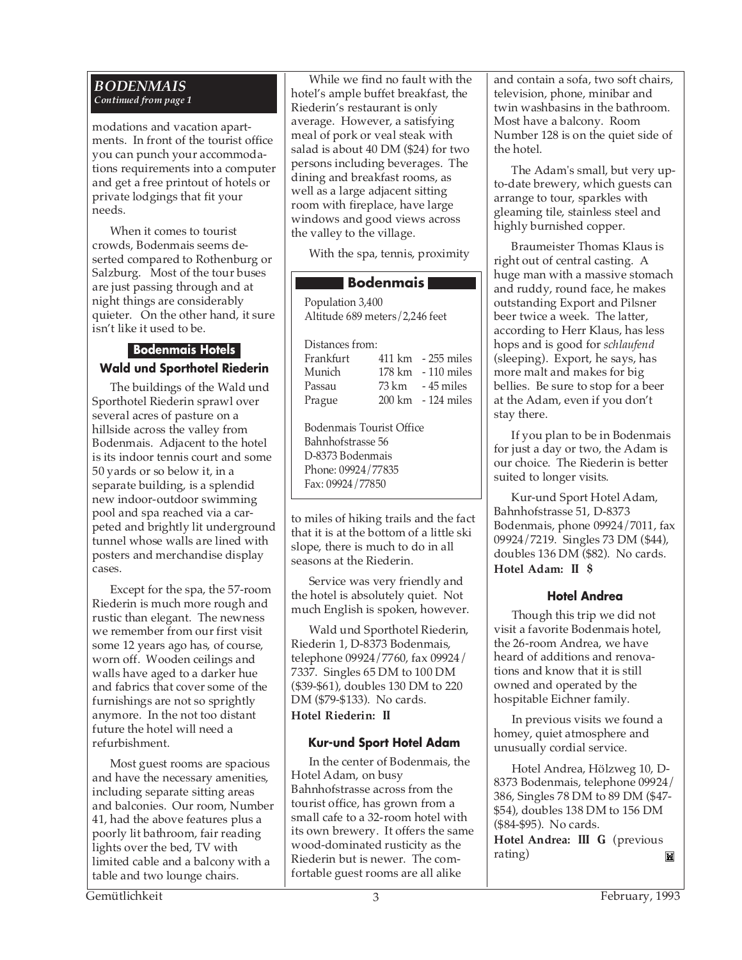#### *BODENMAIS Continued from page 1*

modations and vacation apartments. In front of the tourist office you can punch your accommodations requirements into a computer and get a free printout of hotels or private lodgings that fit your needs.

When it comes to tourist crowds, Bodenmais seems deserted compared to Rothenburg or Salzburg. Most of the tour buses are just passing through and at night things are considerably quieter. On the other hand, it sure isn't like it used to be.

#### **Bodenmais Hotels Wald und Sporthotel Riederin**

The buildings of the Wald und Sporthotel Riederin sprawl over several acres of pasture on a hillside across the valley from Bodenmais. Adjacent to the hotel is its indoor tennis court and some 50 yards or so below it, in a separate building, is a splendid new indoor-outdoor swimming pool and spa reached via a carpeted and brightly lit underground tunnel whose walls are lined with posters and merchandise display cases.

Except for the spa, the 57-room Riederin is much more rough and rustic than elegant. The newness we remember from our first visit some 12 years ago has, of course, worn off. Wooden ceilings and walls have aged to a darker hue and fabrics that cover some of the furnishings are not so sprightly anymore. In the not too distant future the hotel will need a refurbishment.

Most guest rooms are spacious and have the necessary amenities, including separate sitting areas and balconies. Our room, Number 41, had the above features plus a poorly lit bathroom, fair reading lights over the bed, TV with limited cable and a balcony with a table and two lounge chairs.

While we find no fault with the hotel's ample buffet breakfast, the Riederin's restaurant is only average. However, a satisfying meal of pork or veal steak with salad is about 40 DM (\$24) for two persons including beverages. The dining and breakfast rooms, as well as a large adjacent sitting room with fireplace, have large windows and good views across the valley to the village.

With the spa, tennis, proximity

#### **Bodenmais**

Population 3,400 Altitude 689 meters/2,246 feet

| Distances from: |                                     |
|-----------------|-------------------------------------|
| Frankfurt       | $411 \text{ km}$ - 255 miles        |
| Munich          | 178 km - 110 miles                  |
| Passau          | $73 \text{ km}$ $-45 \text{ miles}$ |
| Prague          | 200 km - 124 miles                  |

Bodenmais Tourist Office Bahnhofstrasse 56 D-8373 Bodenmais Phone: 09924/77835 Fax: 09924/77850

to miles of hiking trails and the fact that it is at the bottom of a little ski slope, there is much to do in all seasons at the Riederin.

Service was very friendly and the hotel is absolutely quiet. Not much English is spoken, however.

Wald und Sporthotel Riederin, Riederin 1, D-8373 Bodenmais, telephone 09924/7760, fax 09924/ 7337. Singles 65 DM to 100 DM (\$39-\$61), doubles 130 DM to 220 DM (\$79-\$133). No cards.

**Hotel Riederin: II**

#### **Kur-und Sport Hotel Adam**

In the center of Bodenmais, the Hotel Adam, on busy Bahnhofstrasse across from the tourist office, has grown from a small cafe to a 32-room hotel with its own brewery. It offers the same wood-dominated rusticity as the Riederin but is newer. The comfortable guest rooms are all alike

and contain a sofa, two soft chairs, television, phone, minibar and twin washbasins in the bathroom. Most have a balcony. Room Number 128 is on the quiet side of the hotel.

The Adam's small, but very upto-date brewery, which guests can arrange to tour, sparkles with gleaming tile, stainless steel and highly burnished copper.

Braumeister Thomas Klaus is right out of central casting. A huge man with a massive stomach and ruddy, round face, he makes outstanding Export and Pilsner beer twice a week. The latter, according to Herr Klaus, has less hops and is good for *schlaufend* (sleeping). Export, he says, has more malt and makes for big bellies. Be sure to stop for a beer at the Adam, even if you don't stay there.

If you plan to be in Bodenmais for just a day or two, the Adam is our choice. The Riederin is better suited to longer visits.

Kur-und Sport Hotel Adam, Bahnhofstrasse 51, D-8373 Bodenmais, phone 09924/7011, fax 09924/7219. Singles 73 DM (\$44), doubles 136 DM (\$82). No cards. **Hotel Adam: II \$**

#### **Hotel Andrea**

Though this trip we did not visit a favorite Bodenmais hotel, the 26-room Andrea, we have heard of additions and renovations and know that it is still owned and operated by the hospitable Eichner family.

In previous visits we found a homey, quiet atmosphere and unusually cordial service.

Hotel Andrea, Hölzweg 10, D-8373 Bodenmais, telephone 09924/ 386, Singles 78 DM to 89 DM (\$47- \$54), doubles 138 DM to 156 DM (\$84-\$95). No cards.

**Hotel Andrea: III G** (previous rating) M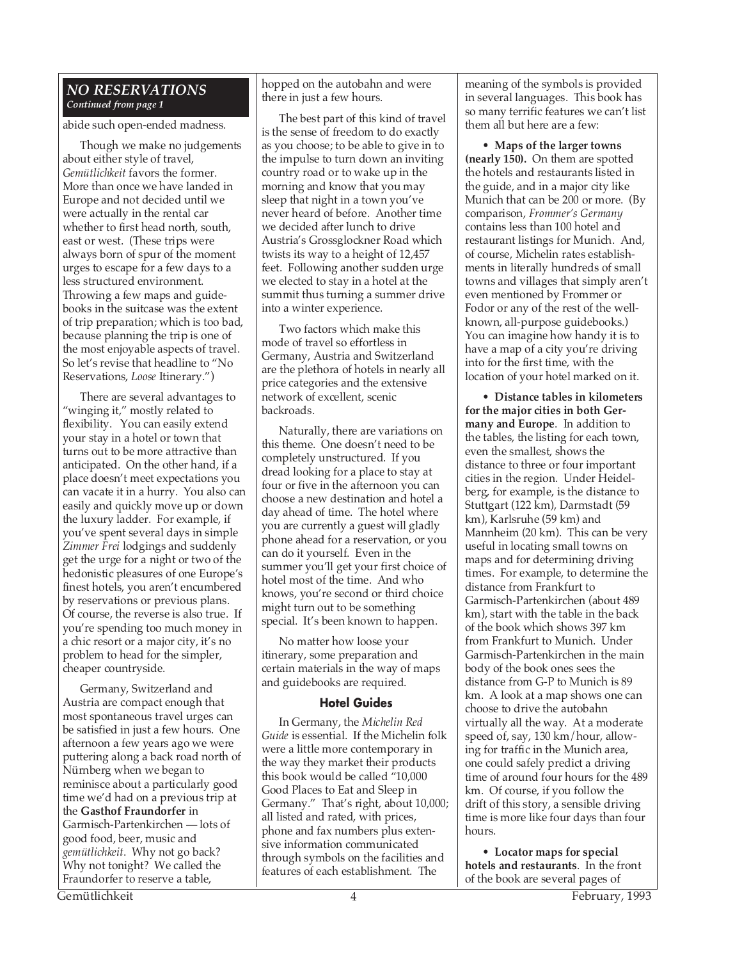#### *NO RESERVATIONS Continued from page 1*

abide such open-ended madness.

Though we make no judgements about either style of travel, *Gemütlichkeit* favors the former. More than once we have landed in Europe and not decided until we were actually in the rental car whether to first head north, south, east or west. (These trips were always born of spur of the moment urges to escape for a few days to a less structured environment. Throwing a few maps and guidebooks in the suitcase was the extent of trip preparation; which is too bad, because planning the trip is one of the most enjoyable aspects of travel. So let's revise that headline to "No Reservations, *Loose* Itinerary.")

There are several advantages to "winging it," mostly related to flexibility. You can easily extend your stay in a hotel or town that turns out to be more attractive than anticipated. On the other hand, if a place doesn't meet expectations you can vacate it in a hurry. You also can easily and quickly move up or down the luxury ladder. For example, if you've spent several days in simple *Zimmer Frei* lodgings and suddenly get the urge for a night or two of the hedonistic pleasures of one Europe's finest hotels, you aren't encumbered by reservations or previous plans. Of course, the reverse is also true. If you're spending too much money in a chic resort or a major city, it's no problem to head for the simpler, cheaper countryside.

Germany, Switzerland and Austria are compact enough that most spontaneous travel urges can be satisfied in just a few hours. One afternoon a few years ago we were puttering along a back road north of Nürnberg when we began to reminisce about a particularly good time we'd had on a previous trip at the **Gasthof Fraundorfer** in Garmisch-Partenkirchen — lots of good food, beer, music and *gemütlichkeit*. Why not go back? Why not tonight? We called the Fraundorfer to reserve a table,

hopped on the autobahn and were there in just a few hours.

The best part of this kind of travel is the sense of freedom to do exactly as you choose; to be able to give in to the impulse to turn down an inviting country road or to wake up in the morning and know that you may sleep that night in a town you've never heard of before. Another time we decided after lunch to drive Austria's Grossglockner Road which twists its way to a height of 12,457 feet. Following another sudden urge we elected to stay in a hotel at the summit thus turning a summer drive into a winter experience.

Two factors which make this mode of travel so effortless in Germany, Austria and Switzerland are the plethora of hotels in nearly all price categories and the extensive network of excellent, scenic backroads.

Naturally, there are variations on this theme. One doesn't need to be completely unstructured. If you dread looking for a place to stay at four or five in the afternoon you can choose a new destination and hotel a day ahead of time. The hotel where you are currently a guest will gladly phone ahead for a reservation, or you can do it yourself. Even in the summer you'll get your first choice of hotel most of the time. And who knows, you're second or third choice might turn out to be something special. It's been known to happen.

No matter how loose your itinerary, some preparation and certain materials in the way of maps and guidebooks are required.

#### **Hotel Guides**

In Germany, the *Michelin Red Guide* is essential. If the Michelin folk were a little more contemporary in the way they market their products this book would be called "10,000 Good Places to Eat and Sleep in Germany." That's right, about 10,000; all listed and rated, with prices, phone and fax numbers plus extensive information communicated through symbols on the facilities and features of each establishment. The

meaning of the symbols is provided in several languages. This book has so many terrific features we can't list them all but here are a few:

• **Maps of the larger towns (nearly 150).** On them are spotted the hotels and restaurants listed in the guide, and in a major city like Munich that can be 200 or more. (By comparison, *Frommer's Germany* contains less than 100 hotel and restaurant listings for Munich. And, of course, Michelin rates establishments in literally hundreds of small towns and villages that simply aren't even mentioned by Frommer or Fodor or any of the rest of the wellknown, all-purpose guidebooks.) You can imagine how handy it is to have a map of a city you're driving into for the first time, with the location of your hotel marked on it.

• **Distance tables in kilometers for the major cities in both Germany and Europe**. In addition to the tables, the listing for each town, even the smallest, shows the distance to three or four important cities in the region. Under Heidelberg, for example, is the distance to Stuttgart (122 km), Darmstadt (59 km), Karlsruhe (59 km) and Mannheim (20 km). This can be very useful in locating small towns on maps and for determining driving times. For example, to determine the distance from Frankfurt to Garmisch-Partenkirchen (about 489 km), start with the table in the back of the book which shows 397 km from Frankfurt to Munich. Under Garmisch-Partenkirchen in the main body of the book ones sees the distance from G-P to Munich is 89 km. A look at a map shows one can choose to drive the autobahn virtually all the way. At a moderate speed of, say, 130 km/hour, allowing for traffic in the Munich area, one could safely predict a driving time of around four hours for the 489 km. Of course, if you follow the drift of this story, a sensible driving time is more like four days than four hours.

• **Locator maps for special hotels and restaurants**. In the front of the book are several pages of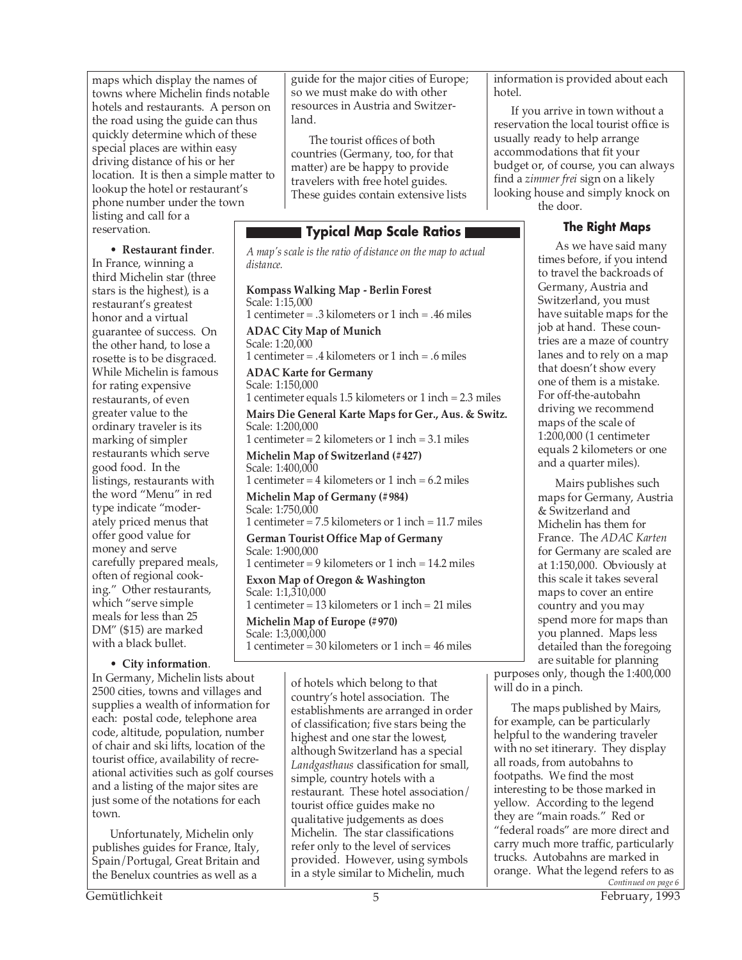maps which display the names of towns where Michelin finds notable hotels and restaurants. A person on the road using the guide can thus quickly determine which of these special places are within easy driving distance of his or her location. It is then a simple matter to lookup the hotel or restaurant's phone number under the town listing and call for a reservation.

• **Restaurant finder**.

In France, winning a third Michelin star (three stars is the highest), is a restaurant's greatest honor and a virtual guarantee of success. On the other hand, to lose a rosette is to be disgraced. While Michelin is famous for rating expensive restaurants, of even greater value to the ordinary traveler is its marking of simpler restaurants which serve good food. In the listings, restaurants with the word "Menu" in red type indicate "moderately priced menus that offer good value for money and serve carefully prepared meals, often of regional cooking." Other restaurants, which "serve simple meals for less than 25 DM" (\$15) are marked with a black bullet.

#### • **City information**.

In Germany, Michelin lists about 2500 cities, towns and villages and supplies a wealth of information for each: postal code, telephone area code, altitude, population, number of chair and ski lifts, location of the tourist office, availability of recreational activities such as golf courses and a listing of the major sites are just some of the notations for each town.

Unfortunately, Michelin only publishes guides for France, Italy, Spain/Portugal, Great Britain and the Benelux countries as well as a

guide for the major cities of Europe; so we must make do with other resources in Austria and Switzerland.

The tourist offices of both countries (Germany, too, for that matter) are be happy to provide travelers with free hotel guides. These guides contain extensive lists

#### **Typical Map Scale Ratios**

*A map's scale is the ratio of distance on the map to actual distance.*

**Kompass Walking Map - Berlin Forest** Scale: 1:15,000 1 centimeter = .3 kilometers or 1 inch = .46 miles **ADAC City Map of Munich** Scale: 1:20,000 1 centimeter = .4 kilometers or 1 inch = .6 miles **ADAC Karte for Germany** Scale: 1:150,000 1 centimeter equals 1.5 kilometers or 1 inch = 2.3 miles **Mairs Die General Karte Maps for Ger., Aus. & Switz.** Scale: 1:200,000 1 centimeter = 2 kilometers or 1 inch = 3.1 miles **Michelin Map of Switzerland (#427)** Scale: 1:400,000 1 centimeter = 4 kilometers or 1 inch = 6.2 miles **Michelin Map of Germany (#984)** Scale: 1:750,000 1 centimeter = 7.5 kilometers or 1 inch = 11.7 miles **German Tourist Office Map of Germany** Scale: 1:900,000 1 centimeter = 9 kilometers or 1 inch = 14.2 miles **Exxon Map of Oregon & Washington** Scale: 1:1,310,000 1 centimeter = 13 kilometers or 1 inch = 21 miles **Michelin Map of Europe (#970)**

Scale: 1:3,000,000 1 centimeter = 30 kilometers or 1 inch = 46 miles

> of hotels which belong to that country's hotel association. The establishments are arranged in order of classification; five stars being the highest and one star the lowest, although Switzerland has a special *Landgasthaus* classification for small, simple, country hotels with a restaurant. These hotel association/ tourist office guides make no qualitative judgements as does Michelin. The star classifications refer only to the level of services provided. However, using symbols in a style similar to Michelin, much

information is provided about each hotel.

If you arrive in town without a reservation the local tourist office is usually ready to help arrange accommodations that fit your budget or, of course, you can always find a *zimmer frei* sign on a likely looking house and simply knock on the door.

#### **The Right Maps**

As we have said many times before, if you intend to travel the backroads of Germany, Austria and Switzerland, you must have suitable maps for the job at hand. These countries are a maze of country lanes and to rely on a map that doesn't show every one of them is a mistake. For off-the-autobahn driving we recommend maps of the scale of 1:200,000 (1 centimeter equals 2 kilometers or one and a quarter miles).

Mairs publishes such maps for Germany, Austria & Switzerland and Michelin has them for France. The *ADAC Karten* for Germany are scaled are at 1:150,000. Obviously at this scale it takes several maps to cover an entire country and you may spend more for maps than you planned. Maps less detailed than the foregoing are suitable for planning

purposes only, though the 1:400,000 will do in a pinch.

The maps published by Mairs, for example, can be particularly helpful to the wandering traveler with no set itinerary. They display all roads, from autobahns to footpaths. We find the most interesting to be those marked in yellow. According to the legend they are "main roads." Red or "federal roads" are more direct and carry much more traffic, particularly trucks. Autobahns are marked in orange. What the legend refers to as *Continued on page 6*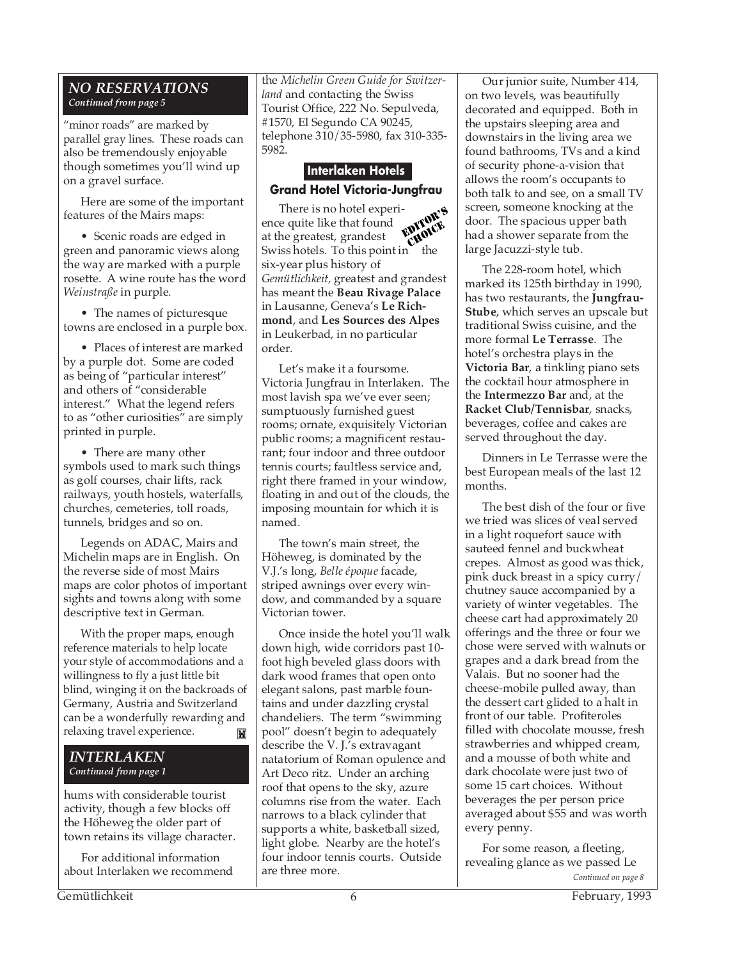#### *NO RESERVATIONS Continued from page 5*

"minor roads" are marked by parallel gray lines. These roads can also be tremendously enjoyable though sometimes you'll wind up on a gravel surface.

Here are some of the important features of the Mairs maps:

• Scenic roads are edged in green and panoramic views along the way are marked with a purple rosette. A wine route has the word *Weinstraße* in purple.

• The names of picturesque towns are enclosed in a purple box.

• Places of interest are marked by a purple dot. Some are coded as being of "particular interest" and others of "considerable interest." What the legend refers to as "other curiosities" are simply printed in purple.

• There are many other symbols used to mark such things as golf courses, chair lifts, rack railways, youth hostels, waterfalls, churches, cemeteries, toll roads, tunnels, bridges and so on.

Legends on ADAC, Mairs and Michelin maps are in English. On the reverse side of most Mairs maps are color photos of important sights and towns along with some descriptive text in German.

With the proper maps, enough reference materials to help locate your style of accommodations and a willingness to fly a just little bit blind, winging it on the backroads of Germany, Austria and Switzerland can be a wonderfully rewarding and relaxing travel experience. Ħ

#### *INTERLAKEN Continued from page 1*

hums with considerable tourist activity, though a few blocks off the Höheweg the older part of town retains its village character.

For additional information about Interlaken we recommend the *Michelin Green Guide for Switzerland* and contacting the Swiss Tourist Office, 222 No. Sepulveda, #1570, El Segundo CA 90245, telephone 310/35-5980, fax 310-335- 5982.

### **Interlaken Hotels Grand Hotel Victoria-Jungfrau**

There is no hotel experience quite like that found at the greatest, grandest Swiss hotels. To this point in the six-year plus history of *Gemütlichkeit,* greatest and grandest has meant the **Beau Rivage Palace** in Lausanne, Geneva's **Le Richmond**, and **Les Sources des Alpes** in Leukerbad, in no particular order. EDITOR'S **CHOICE** 

Let's make it a foursome. Victoria Jungfrau in Interlaken. The most lavish spa we've ever seen; sumptuously furnished guest rooms; ornate, exquisitely Victorian public rooms; a magnificent restaurant; four indoor and three outdoor tennis courts; faultless service and, right there framed in your window, floating in and out of the clouds, the imposing mountain for which it is named.

The town's main street, the Höheweg, is dominated by the V.J.'s long, *Belle époque* facade, striped awnings over every window, and commanded by a square Victorian tower.

Once inside the hotel you'll walk down high, wide corridors past 10 foot high beveled glass doors with dark wood frames that open onto elegant salons, past marble fountains and under dazzling crystal chandeliers. The term "swimming pool" doesn't begin to adequately describe the V. J.'s extravagant natatorium of Roman opulence and Art Deco ritz. Under an arching roof that opens to the sky, azure columns rise from the water. Each narrows to a black cylinder that supports a white, basketball sized, light globe. Nearby are the hotel's four indoor tennis courts. Outside are three more. **Continued on page 8** Continued on page 8

Our junior suite, Number 414, on two levels, was beautifully decorated and equipped. Both in the upstairs sleeping area and downstairs in the living area we found bathrooms, TVs and a kind of security phone-a-vision that allows the room's occupants to both talk to and see, on a small TV screen, someone knocking at the door. The spacious upper bath had a shower separate from the large Jacuzzi-style tub.

The 228-room hotel, which marked its 125th birthday in 1990, has two restaurants, the **Jungfrau-Stube**, which serves an upscale but traditional Swiss cuisine, and the more formal **Le Terrasse**. The hotel's orchestra plays in the **Victoria Bar**, a tinkling piano sets the cocktail hour atmosphere in the **Intermezzo Bar** and, at the **Racket Club/Tennisbar**, snacks, beverages, coffee and cakes are served throughout the day.

Dinners in Le Terrasse were the best European meals of the last 12 months.

The best dish of the four or five we tried was slices of veal served in a light roquefort sauce with sauteed fennel and buckwheat crepes. Almost as good was thick, pink duck breast in a spicy curry/ chutney sauce accompanied by a variety of winter vegetables. The cheese cart had approximately 20 offerings and the three or four we chose were served with walnuts or grapes and a dark bread from the Valais. But no sooner had the cheese-mobile pulled away, than the dessert cart glided to a halt in front of our table. Profiteroles filled with chocolate mousse, fresh strawberries and whipped cream, and a mousse of both white and dark chocolate were just two of some 15 cart choices. Without beverages the per person price averaged about \$55 and was worth every penny.

For some reason, a fleeting, revealing glance as we passed Le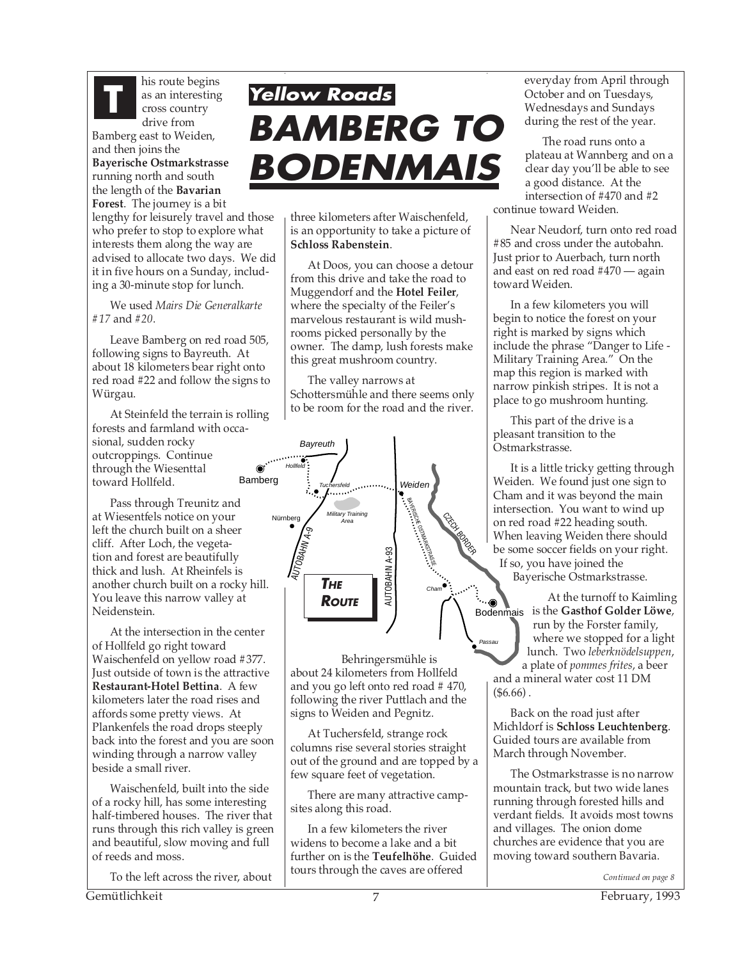

his route begins as an interesting cross country drive from Bamberg east to Weiden,

and then joins the **Bayerische Ostmarkstrasse** running north and south the length of the **Bavarian Forest**. The journey is a bit

lengthy for leisurely travel and those who prefer to stop to explore what interests them along the way are advised to allocate two days. We did it in five hours on a Sunday, including a 30-minute stop for lunch.

We used *Mairs Die Generalkarte #17* and *#20*.

Leave Bamberg on red road 505, following signs to Bayreuth. At about 18 kilometers bear right onto red road #22 and follow the signs to Würgau.

At Steinfeld the terrain is rolling forests and farmland with occasional, sudden rocky outcroppings. Continue through the Wiesenttal toward Hollfeld.

Pass through Treunitz and at Wiesentfels notice on your left the church built on a sheer cliff. After Loch, the vegetation and forest are beautifully thick and lush. At Rheinfels is another church built on a rocky hill. You leave this narrow valley at Neidenstein.

At the intersection in the center of Hollfeld go right toward Waischenfeld on yellow road #377. Just outside of town is the attractive **Restaurant-Hotel Bettina**. A few kilometers later the road rises and affords some pretty views. At Plankenfels the road drops steeply back into the forest and you are soon winding through a narrow valley beside a small river.

Waischenfeld, built into the side of a rocky hill, has some interesting half-timbered houses. The river that runs through this rich valley is green and beautiful, slow moving and full of reeds and moss.

To the left across the river, about

## **Yellow Roads BAMBERG TO BODENMAIS This route begins**<br>as an interesting<br>cross country<br>during the rest of the year.

three kilometers after Waischenfeld, is an opportunity to take a picture of **Schloss Rabenstein**.

At Doos, you can choose a detour from this drive and take the road to Muggendorf and the **Hotel Feiler**, where the specialty of the Feiler's marvelous restaurant is wild mushrooms picked personally by the owner. The damp, lush forests make this great mushroom country.

The valley narrows at Schottersmühle and there seems only to be room for the road and the river.



Behringersmühle is about 24 kilometers from Hollfeld and you go left onto red road # 470, following the river Puttlach and the signs to Weiden and Pegnitz.

At Tuchersfeld, strange rock columns rise several stories straight out of the ground and are topped by a few square feet of vegetation.

There are many attractive campsites along this road.

In a few kilometers the river widens to become a lake and a bit further on is the **Teufelhöhe**. Guided tours through the caves are offered

October and on Tuesdays, Wednesdays and Sundays during the rest of the year.

The road runs onto a plateau at Wannberg and on a clear day you'll be able to see a good distance. At the intersection of #470 and #2 continue toward Weiden.

Near Neudorf, turn onto red road #85 and cross under the autobahn. Just prior to Auerbach, turn north and east on red road #470 — again toward Weiden.

In a few kilometers you will begin to notice the forest on your right is marked by signs which include the phrase "Danger to Life - Military Training Area." On the map this region is marked with narrow pinkish stripes. It is not a place to go mushroom hunting.

This part of the drive is a pleasant transition to the Ostmarkstrasse.

It is a little tricky getting through Weiden. We found just one sign to Cham and it was beyond the main intersection. You want to wind up on red road #22 heading south. When leaving Weiden there should be some soccer fields on your right. If so, you have joined the Bayerische Ostmarkstrasse.

Bodenmais is the **Gasthof Golder Löwe**, At the turnoff to Kaimling run by the Forster family, where we stopped for a light lunch. Two *leberknödelsuppen*, a plate of *pommes frites*, a beer and a mineral water cost 11 DM  $(\$6.66)$ .

*Passau*

Back on the road just after Michldorf is **Schloss Leuchtenberg**. Guided tours are available from March through November.

The Ostmarkstrasse is no narrow mountain track, but two wide lanes running through forested hills and verdant fields. It avoids most towns and villages. The onion dome churches are evidence that you are moving toward southern Bavaria.